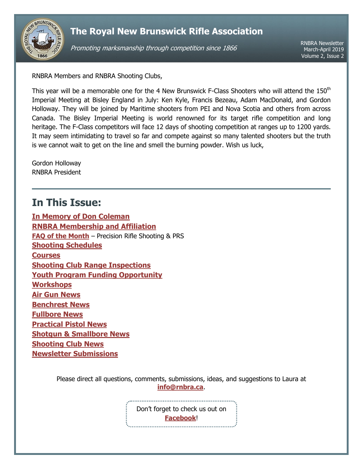

# **The Royal New Brunswick Rifle Association**

Promoting marksmanship through competition since 1866

RNBRA Newsletter March-April 2019 Volume 2, Issue 2

RNBRA Members and RNBRA Shooting Clubs,

This year will be a memorable one for the 4 New Brunswick F-Class Shooters who will attend the 150<sup>th</sup> Imperial Meeting at Bisley England in July: Ken Kyle, Francis Bezeau, Adam MacDonald, and Gordon Holloway. They will be joined by Maritime shooters from PEI and Nova Scotia and others from across Canada. The Bisley Imperial Meeting is world renowned for its target rifle competition and long heritage. The F-Class competitors will face 12 days of shooting competition at ranges up to 1200 yards. It may seem intimidating to travel so far and compete against so many talented shooters but the truth is we cannot wait to get on the line and smell the burning powder. Wish us luck,

Gordon Holloway RNBRA President

# <span id="page-0-0"></span>**In This Issue:**

**[In Memory of Don Coleman](#page-1-0) [RNBRA Membership and Affiliation](#page-2-0) [FAQ of the Month](#page-2-1)** – Precision Rifle Shooting & PRS **[Shooting Schedules](#page-3-0) [Courses](#page-3-1) [Shooting Club Range Inspections](#page-4-0) [Youth Program Funding Opportunity](#page-4-1) [Workshops](#page-4-2) [Air Gun](#page-4-3) News [Benchrest News](#page-5-0) [Fullbore](#page-5-1) News [Practical Pistol](#page-5-2) News Shotgun [& Smallbore](#page-5-3) News [Shooting Club News](#page-6-0) [Newsletter Submissions](#page-6-1)**

> Please direct all questions, comments, submissions, ideas, and suggestions to Laura at **[info@rnbra.ca](mailto:info@rnbra.ca?subject=RNBRA%20Newsletter)**.

> > Don't forget to check us out on **[Facebook](http://www.facebook.com/RNBRA)**!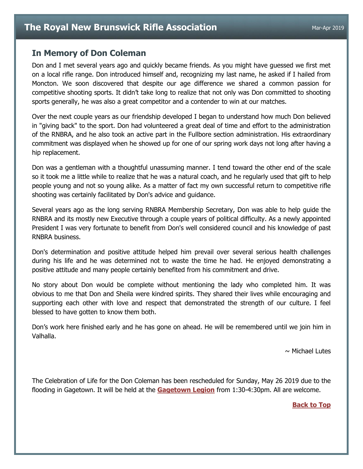## <span id="page-1-0"></span>**In Memory of Don Coleman**

Don and I met several years ago and quickly became friends. As you might have guessed we first met on a local rifle range. Don introduced himself and, recognizing my last name, he asked if I hailed from Moncton. We soon discovered that despite our age difference we shared a common passion for competitive shooting sports. It didn't take long to realize that not only was Don committed to shooting sports generally, he was also a great competitor and a contender to win at our matches.

Over the next couple years as our friendship developed I began to understand how much Don believed in "giving back" to the sport. Don had volunteered a great deal of time and effort to the administration of the RNBRA, and he also took an active part in the Fullbore section administration. His extraordinary commitment was displayed when he showed up for one of our spring work days not long after having a hip replacement.

Don was a gentleman with a thoughtful unassuming manner. I tend toward the other end of the scale so it took me a little while to realize that he was a natural coach, and he regularly used that gift to help people young and not so young alike. As a matter of fact my own successful return to competitive rifle shooting was certainly facilitated by Don's advice and guidance.

Several years ago as the long serving RNBRA Membership Secretary, Don was able to help guide the RNBRA and its mostly new Executive through a couple years of political difficulty. As a newly appointed President I was very fortunate to benefit from Don's well considered council and his knowledge of past RNBRA business.

Don's determination and positive attitude helped him prevail over several serious health challenges during his life and he was determined not to waste the time he had. He enjoyed demonstrating a positive attitude and many people certainly benefited from his commitment and drive.

No story about Don would be complete without mentioning the lady who completed him. It was obvious to me that Don and Sheila were kindred spirits. They shared their lives while encouraging and supporting each other with love and respect that demonstrated the strength of our culture. I feel blessed to have gotten to know them both.

Don's work here finished early and he has gone on ahead. He will be remembered until we join him in Valhalla.

 $\sim$  Michael Lutes

The Celebration of Life for the Don Coleman has been rescheduled for Sunday, May 26 2019 due to the flooding in Gagetown. It will be held at the **[Gagetown Legion](https://www.google.com/maps/place/Royal+Canadian+Legion+Branch+71/@45.7856611,-66.1490519,17)** from 1:30-4:30pm. All are welcome.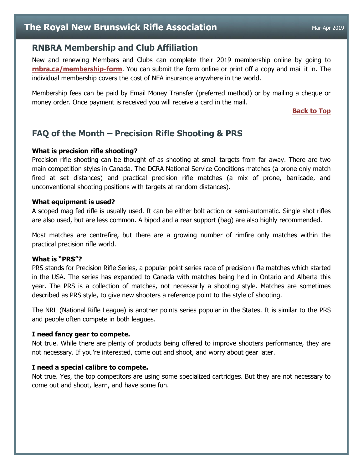# <span id="page-2-0"></span>**RNBRA Membership and Club Affiliation**

New and renewing Members and Clubs can complete their 2019 membership online by going to **[rnbra.ca/membership-form](http://rnbra.ca/membership-form/)**. You can submit the form online or print off a copy and mail it in. The individual membership covers the cost of NFA insurance anywhere in the world.

Membership fees can be paid by Email Money Transfer (preferred method) or by mailing a cheque or money order. Once payment is received you will receive a card in the mail.

**[Back to Top](#page-0-0)**

# <span id="page-2-1"></span>**FAQ of the Month – Precision Rifle Shooting & PRS**

#### **What is precision rifle shooting?**

Precision rifle shooting can be thought of as shooting at small targets from far away. There are two main competition styles in Canada. The DCRA National Service Conditions matches (a prone only match fired at set distances) and practical precision rifle matches (a mix of prone, barricade, and unconventional shooting positions with targets at random distances).

#### **What equipment is used?**

A scoped mag fed rifle is usually used. It can be either bolt action or semi-automatic. Single shot rifles are also used, but are less common. A bipod and a rear support (bag) are also highly recommended.

Most matches are centrefire, but there are a growing number of rimfire only matches within the practical precision rifle world.

#### **What is "PRS"?**

PRS stands for Precision Rifle Series, a popular point series race of precision rifle matches which started in the USA. The series has expanded to Canada with matches being held in Ontario and Alberta this year. The PRS is a collection of matches, not necessarily a shooting style. Matches are sometimes described as PRS style, to give new shooters a reference point to the style of shooting.

The NRL (National Rifle League) is another points series popular in the States. It is similar to the PRS and people often compete in both leagues.

#### **I need fancy gear to compete.**

Not true. While there are plenty of products being offered to improve shooters performance, they are not necessary. If you're interested, come out and shoot, and worry about gear later.

### **I need a special calibre to compete.**

Not true. Yes, the top competitors are using some specialized cartridges. But they are not necessary to come out and shoot, learn, and have some fun.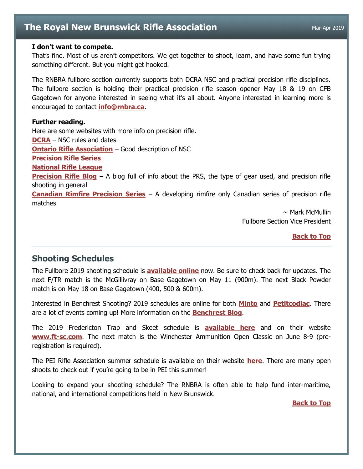# **The Royal New Brunswick Rifle Association** Mar-Apr 2019

#### **I don't want to compete.**

That's fine. Most of us aren't competitors. We get together to shoot, learn, and have some fun trying something different. But you might get hooked.

The RNBRA fullbore section currently supports both DCRA NSC and practical precision rifle disciplines. The fullbore section is holding their practical precision rifle season opener May 18 & 19 on CFB Gagetown for anyone interested in seeing what it's all about. Anyone interested in learning more is encouraged to contact **[info@rnbra.ca](mailto:info@rnbra.ca?subject=PRS)**.

#### **Further reading.**

Here are some websites with more info on precision rifle. **[DCRA](http://www.dcra.ca/index.php)** – NSC rules and dates **[Ontario Rifle Association](https://ontariorifleassociation.ca/disciplines/precision-rifle/)** – Good description of NSC **[Precision Rifle Series](https://www.precisionrifleseries.com/) [National Rifle League](https://nationalrifleleague.org/) [Precision Rifle Blog](https://precisionrifleblog.com/)** – A blog full of info about the PRS, the type of gear used, and precision rifle shooting in general **[Canadian Rimfire Precision Series](https://rimfireprecision.ca/)** – A developing rimfire only Canadian series of precision rifle matches

 $\sim$  Mark McMullin Fullbore Section Vice President

**[Back to Top](#page-0-0)**

# <span id="page-3-0"></span>**Shooting Schedules**

The Fullbore 2019 shooting schedule is **[available online](https://docs.google.com/document/d/1P6YveNhkO81U5qCQiQkmU1YlnoM-LEUXOCmbID-5vDQ/edit?usp=sharing)** now. Be sure to check back for updates. The next F/TR match is the McGillivray on Base Gagetown on May 11 (900m). The next Black Powder match is on May 18 on Base Gagetown (400, 500 & 600m).

Interested in Benchrest Shooting? 2019 schedules are online for both **[Minto](https://docs.google.com/document/d/1CBP2E-bVtVsNOUAWKPBoSlzfF83QXytM18fHa94AZAc/edit)** and **[Petitcodiac](https://drive.google.com/file/d/0Bys2REhN--pwQk9lNXN1V3o0bU1pM3d5X0tOVkZzOUR1U1Rn/view)**. There are a lot of events coming up! More information on the **[Benchrest Blog](http://newbrunswick-benchrest.blogspot.com/)**.

The 2019 Fredericton Trap and Skeet schedule is **[available here](https://docs.google.com/document/d/1s-A0lZqlMKsNawuynmNH49EwfXYgExI1amfwjZVMHbo/edit?usp=sharing)** and on their website **[www.ft-sc.com](file:///C:/Users/Laura/RNBRA/Newsletters/V2%20I1/www.ft-sc.com)**. The next match is the Winchester Ammunition Open Classic on June 8-9 (preregistration is required).

The PEI Rifle Association summer schedule is available on their website **[here](http://www.peipra.ca/events/)**. There are many open shoots to check out if you're going to be in PEI this summer!

<span id="page-3-1"></span>Looking to expand your shooting schedule? The RNBRA is often able to help fund inter-maritime, national, and international competitions held in New Brunswick.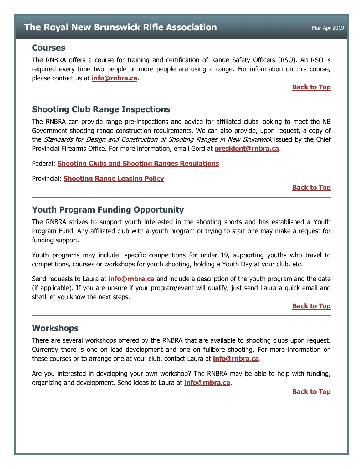### **Courses**

The RNBRA offers a course for training and certification of Range Safety Officers (RSO). An RSO is required every time two people or more people are using a range. For information on this course, please contact us at **[info@rnbra.ca](mailto:info@rnbra.ca?subject=RNBRA%20Courses)**.

#### **[Back to Top](#page-0-0)**

# <span id="page-4-0"></span>**Shooting Club Range Inspections**

The RNBRA can provide range pre-inspections and advice for affiliated clubs looking to meet the NB Government shooting range construction requirements. We can also provide, upon request, a copy of the *Standards for Design and Construction of Shooting Ranges in New Brunswick* issued by the Chief Provincial Firearms Office. For more information, email Gord at **[president@rnbra.ca](mailto:president@rnbra.ca)**.

Federal: **Shooting Clubs and [Shooting Ranges Regulations](https://laws-lois.justice.gc.ca/PDF/SOR-98-212.pdf)**

Provincial: **[Shooting Range Leasing Policy](https://www2.gnb.ca/content/dam/gnb/Departments/nr-rn/pdf/en/ForestsCrownLands/2017-12-08_shooting_range_policy.pdf)**

#### **[Back to Top](#page-0-0)**

# <span id="page-4-1"></span>**Youth Program Funding Opportunity**

The RNBRA strives to support youth interested in the shooting sports and has established a Youth Program Fund. Any affiliated club with a youth program or trying to start one may make a request for funding support.

Youth programs may include: specific competitions for under 19, supporting youths who travel to competitions, courses or workshops for youth shooting, holding a Youth Day at your club, etc.

Send requests to Laura at **[info@rnbra.ca](mailto:info@rnbra.ca?subject=Youth%20Program%20Funding)** and include a description of the youth program and the date (if applicable). If you are unsure if your program/event will qualify, just send Laura a quick email and she'll let you know the next steps.

#### **[Back to Top](#page-0-0)**

## <span id="page-4-2"></span>**Workshops**

There are several workshops offered by the RNBRA that are available to shooting clubs upon request. Currently there is one on load development and one on fullbore shooting. For more information on these courses or to arrange one at your club, contact Laura at **[info@rnbra.ca](mailto:info@rnbra.ca?subject=Newsletter-Workshop)**.

<span id="page-4-3"></span>Are you interested in developing your own workshop? The RNBRA may be able to help with funding, organizing and development. Send ideas to Laura at **[info@rnbra.ca](mailto:info@rnbra.ca?subject=Newsletter-Workshop)**.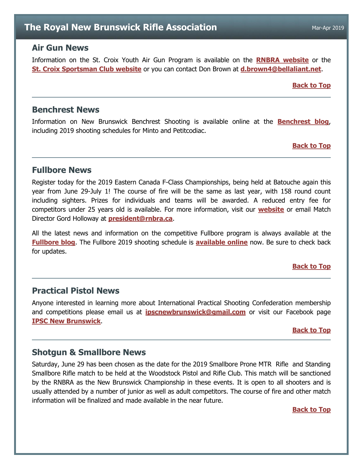# **The Royal New Brunswick Rifle Association** Mar-Apr 2019

## **Air Gun News**

Information on the St. Croix Youth Air Gun Program is available on the **RNBRA [website](http://rnbra.ca/)** or the **[St. Croix Sportsman Club website](http://www.stcroixsportsmanclub.com/apps/blog/categories/show/1610968-youth-airgun)** or you can contact Don Brown at **[d.brown4@bellaliant.net](mailto:d.brown4@bellaliant.net?subject=Air%20Gun)**.

#### **[Back to Top](#page-0-0)**

## <span id="page-5-0"></span>**Benchrest News**

Information on New Brunswick Benchrest Shooting is available online at the **[Benchrest blog](http://newbrunswick-benchrest.blogspot.ca/)**, including 2019 shooting schedules for Minto and Petitcodiac.

#### **[Back to Top](#page-0-0)**

## <span id="page-5-1"></span>**Fullbore News**

Register today for the 2019 Eastern Canada F-Class Championships, being held at Batouche again this year from June 29-July 1! The course of fire will be the same as last year, with 158 round count including sighters. Prizes for individuals and teams will be awarded. A reduced entry fee for competitors under 25 years old is available. For more information, visit our **[website](http://www.easternfclass.ca/)** or email Match Director Gord Holloway at **[president@rnbra.ca](mailto:president@rnbra.ca?subject=Eastern%20F-Class%20Championship)**.

All the latest news and information on the competitive Fullbore program is always available at the **[Fullbore blog](http://rnbrafullbore.blogspot.ca/)**. The Fullbore 2019 shooting schedule is **[available online](https://docs.google.com/document/d/1P6YveNhkO81U5qCQiQkmU1YlnoM-LEUXOCmbID-5vDQ/edit?usp=sharing)** now. Be sure to check back for updates.

#### **[Back to Top](#page-0-0)**

# <span id="page-5-2"></span>**Practical Pistol News**

Anyone interested in learning more about International Practical Shooting Confederation membership and competitions please email us at **[ipscnewbrunswick@gmail.com](mailto:ipscnewbrunswick@gmail.com)** or visit our Facebook page **[IPSC New Brunswick](https://www.facebook.com/IpscNewBrunswick/)**.

#### **[Back to Top](#page-0-0)**

## <span id="page-5-3"></span>**Shotgun & Smallbore News**

Saturday, June 29 has been chosen as the date for the 2019 Smallbore Prone MTR Rifle and Standing Smallbore Rifle match to be held at the Woodstock Pistol and Rifle Club. This match will be sanctioned by the RNBRA as the New Brunswick Championship in these events. It is open to all shooters and is usually attended by a number of junior as well as adult competitors. The course of fire and other match information will be finalized and made available in the near future.